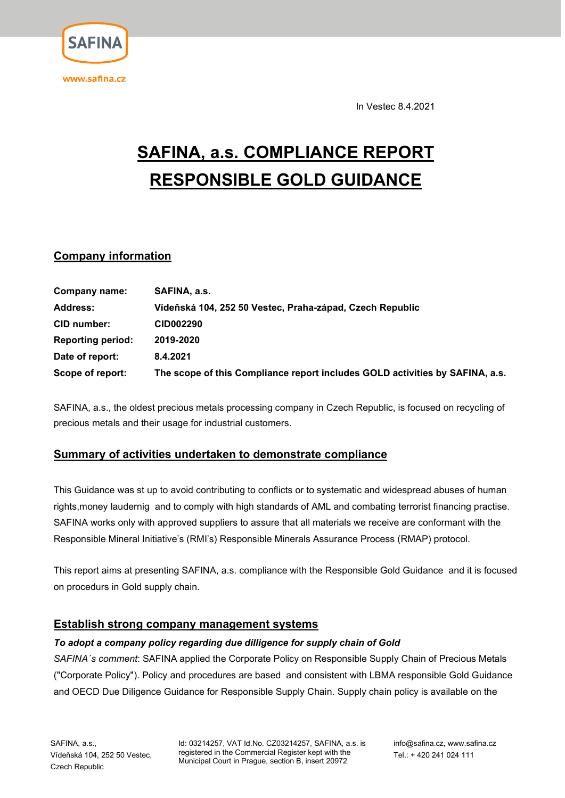

**SAFIN** 

In Vestec 8.4.2021

# SAFINA, a.s. COMPLIANCE REPORT RESPONSIBLE GOLD GUIDANCE

## Company information

| Company name:            | SAFINA, a.s.                                                                 |
|--------------------------|------------------------------------------------------------------------------|
| <b>Address:</b>          | Vídeňská 104, 252 50 Vestec, Praha-západ, Czech Republic                     |
| CID number:              | <b>CID002290</b>                                                             |
| <b>Reporting period:</b> | 2019-2020                                                                    |
| Date of report:          | 8.4.2021                                                                     |
| Scope of report:         | The scope of this Compliance report includes GOLD activities by SAFINA, a.s. |

SAFINA, a.s., the oldest precious metals processing company in Czech Republic, is focused on recycling of precious metals and their usage for industrial customers.

## Summary of activities undertaken to demonstrate compliance

This Guidance was st up to avoid contributing to conflicts or to systematic and widespread abuses of human rights,money laudernig and to comply with high standards of AML and combating terrorist financing practise. SAFINA works only with approved suppliers to assure that all materials we receive are conformant with the Responsible Mineral Initiative's (RMI's) Responsible Minerals Assurance Process (RMAP) protocol.

This report aims at presenting SAFINA, a.s. compliance with the Responsible Gold Guidance and it is focused on procedurs in Gold supply chain.

## Establish strong company management systems

#### To adopt a company policy regarding due dilligence for supply chain of Gold

SAFINA's comment: SAFINA applied the Corporate Policy on Responsible Supply Chain of Precious Metals ("Corporate Policy"). Policy and procedures are based and consistent with LBMA responsible Gold Guidance and OECD Due Diligence Guidance for Responsible Supply Chain. Supply chain policy is available on the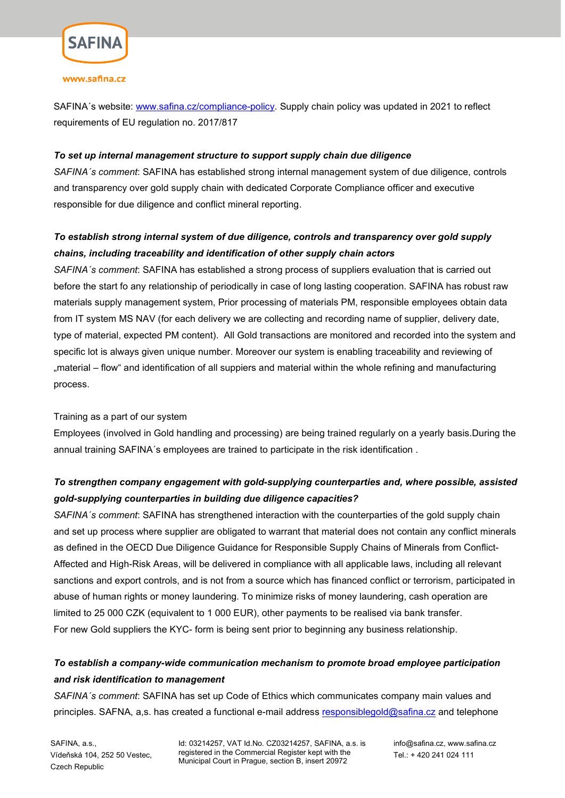

#### www.safina.cz

SAFINA´s website: www.safina.cz/compliance-policy. Supply chain policy was updated in 2021 to reflect requirements of EU regulation no. 2017/817

#### To set up internal management structure to support supply chain due diligence

SAFINA's comment: SAFINA has established strong internal management system of due diligence, controls and transparency over gold supply chain with dedicated Corporate Compliance officer and executive responsible for due diligence and conflict mineral reporting.

# To establish strong internal system of due diligence, controls and transparency over gold supply chains, including traceability and identification of other supply chain actors

SAFINA's comment: SAFINA has established a strong process of suppliers evaluation that is carried out before the start fo any relationship of periodically in case of long lasting cooperation. SAFINA has robust raw materials supply management system, Prior processing of materials PM, responsible employees obtain data from IT system MS NAV (for each delivery we are collecting and recording name of supplier, delivery date, type of material, expected PM content). All Gold transactions are monitored and recorded into the system and specific lot is always given unique number. Moreover our system is enabling traceability and reviewing of "material – flow" and identification of all suppiers and material within the whole refining and manufacturing process.

#### Training as a part of our system

Employees (involved in Gold handling and processing) are being trained regularly on a yearly basis.During the annual training SAFINA´s employees are trained to participate in the risk identification .

# To strengthen company engagement with gold-supplying counterparties and, where possible, assisted gold-supplying counterparties in building due diligence capacities?

SAFINA's comment: SAFINA has strengthened interaction with the counterparties of the gold supply chain and set up process where supplier are obligated to warrant that material does not contain any conflict minerals as defined in the OECD Due Diligence Guidance for Responsible Supply Chains of Minerals from Conflict-Affected and High-Risk Areas, will be delivered in compliance with all applicable laws, including all relevant sanctions and export controls, and is not from a source which has financed conflict or terrorism, participated in abuse of human rights or money laundering. To minimize risks of money laundering, cash operation are limited to 25 000 CZK (equivalent to 1 000 EUR), other payments to be realised via bank transfer. For new Gold suppliers the KYC- form is being sent prior to beginning any business relationship.

# To establish a company-wide communication mechanism to promote broad employee participation and risk identification to management

SAFINA's comment: SAFINA has set up Code of Ethics which communicates company main values and principles. SAFNA, a,s. has created a functional e-mail address responsiblegold@safina.cz and telephone

SAFINA, a.s., Vídeňská 104, 252 50 Vestec, Czech Republic

Id: 03214257, VAT Id.No. CZ03214257, SAFINA, a.s. is registered in the Commercial Register kept with the Municipal Court in Prague, section B, insert 20972

 info@safina.cz, www.safina.cz Tel.: + 420 241 024 111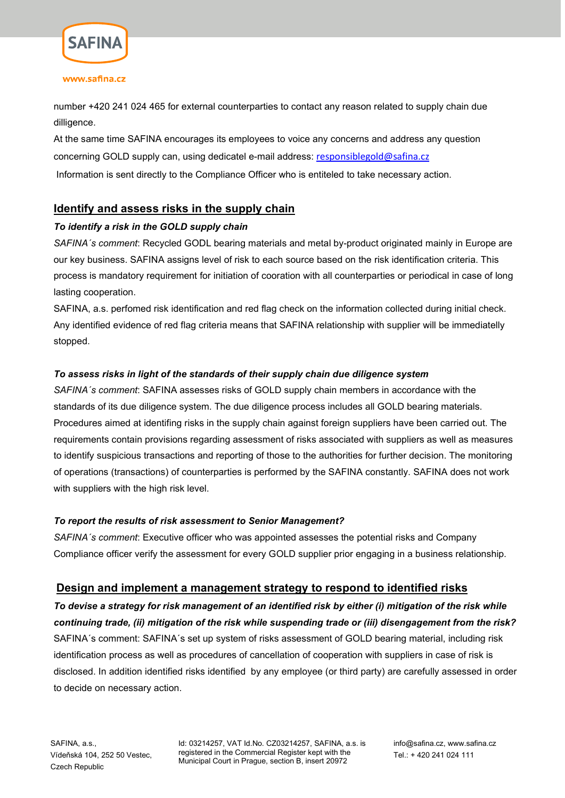

#### www.safina.cz

number +420 241 024 465 for external counterparties to contact any reason related to supply chain due dilligence.

At the same time SAFINA encourages its employees to voice any concerns and address any question concerning GOLD supply can, using dedicatel e-mail address: responsiblegold@safina.cz Information is sent directly to the Compliance Officer who is entiteled to take necessary action.

## Identify and assess risks in the supply chain

#### To identify a risk in the GOLD supply chain

SAFINA's comment: Recycled GODL bearing materials and metal by-product originated mainly in Europe are our key business. SAFINA assigns level of risk to each source based on the risk identification criteria. This process is mandatory requirement for initiation of cooration with all counterparties or periodical in case of long lasting cooperation.

SAFINA, a.s. perfomed risk identification and red flag check on the information collected during initial check. Any identified evidence of red flag criteria means that SAFINA relationship with supplier will be immediatelly stopped.

#### To assess risks in light of the standards of their supply chain due diligence system

SAFINA´s comment: SAFINA assesses risks of GOLD supply chain members in accordance with the standards of its due diligence system. The due diligence process includes all GOLD bearing materials. Procedures aimed at identifing risks in the supply chain against foreign suppliers have been carried out. The requirements contain provisions regarding assessment of risks associated with suppliers as well as measures to identify suspicious transactions and reporting of those to the authorities for further decision. The monitoring of operations (transactions) of counterparties is performed by the SAFINA constantly. SAFINA does not work with suppliers with the high risk level.

#### To report the results of risk assessment to Senior Management?

SAFINA's comment: Executive officer who was appointed assesses the potential risks and Company Compliance officer verify the assessment for every GOLD supplier prior engaging in a business relationship.

## Design and implement a management strategy to respond to identified risks

To devise a strategy for risk management of an identified risk by either (i) mitigation of the risk while continuing trade, (ii) mitigation of the risk while suspending trade or (iii) disengagement from the risk? SAFINA´s comment: SAFINA´s set up system of risks assessment of GOLD bearing material, including risk identification process as well as procedures of cancellation of cooperation with suppliers in case of risk is disclosed. In addition identified risks identified by any employee (or third party) are carefully assessed in order to decide on necessary action.